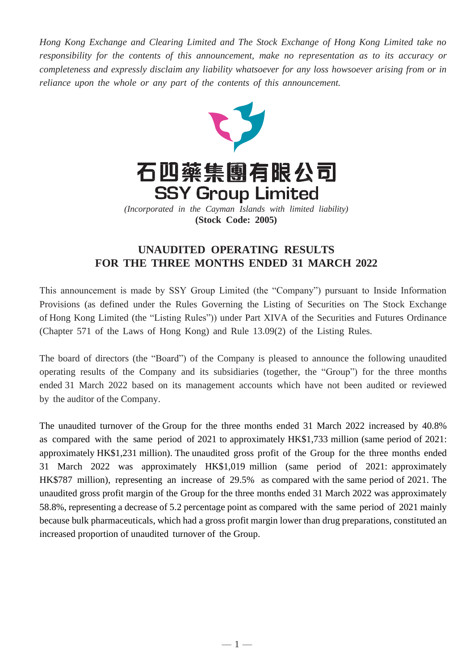*Hong Kong Exchange and Clearing Limited and The Stock Exchange of Hong Kong Limited take no responsibility for the contents of this announcement, make no representation as to its accuracy or completeness and expressly disclaim any liability whatsoever for any loss howsoever arising from or in reliance upon the whole or any part of the contents of this announcement.*



**(Stock Code: 2005)**

## **UNAUDITED OPERATING RESULTS FOR THE THREE MONTHS ENDED 31 MARCH 2022**

This announcement is made by SSY Group Limited (the "Company") pursuant to Inside Information Provisions (as defined under the Rules Governing the Listing of Securities on The Stock Exchange of Hong Kong Limited (the "Listing Rules")) under Part XIVA of the Securities and Futures Ordinance (Chapter 571 of the Laws of Hong Kong) and Rule 13.09(2) of the Listing Rules.

The board of directors (the "Board") of the Company is pleased to announce the following unaudited operating results of the Company and its subsidiaries (together, the "Group") for the three months ended 31 March 2022 based on its management accounts which have not been audited or reviewed by the auditor of the Company.

The unaudited turnover of the Group for the three months ended 31 March 2022 increased by 40.8% as compared with the same period of 2021 to approximately HK\$1,733 million (same period of 2021: approximately HK\$1,231 million). The unaudited gross profit of the Group for the three months ended 31 March 2022 was approximately HK\$1,019 million (same period of 2021: approximately HK\$787 million), representing an increase of 29.5% as compared with the same period of 2021. The unaudited gross profit margin of the Group for the three months ended 31 March 2022 was approximately 58.8%, representing a decrease of 5.2 percentage point as compared with the same period of 2021 mainly because bulk pharmaceuticals, which had a gross profit margin lower than drug preparations, constituted an increased proportion of unaudited turnover of the Group.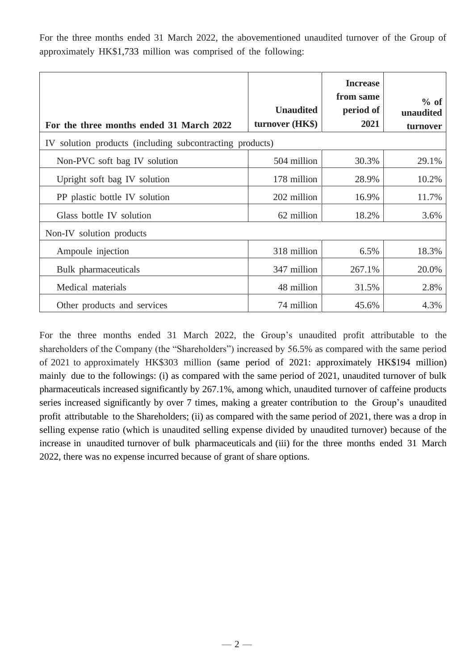For the three months ended 31 March 2022, the abovementioned unaudited turnover of the Group of approximately HK\$1,733 million was comprised of the following:

| For the three months ended 31 March 2022                 | <b>Unaudited</b><br>turnover (HK\$) | <b>Increase</b><br>from same<br>period of<br>2021 | % of<br>unaudited<br>turnover |
|----------------------------------------------------------|-------------------------------------|---------------------------------------------------|-------------------------------|
| IV solution products (including subcontracting products) |                                     |                                                   |                               |
| Non-PVC soft bag IV solution                             | 504 million                         | 30.3%                                             | 29.1%                         |
| Upright soft bag IV solution                             | 178 million                         | 28.9%                                             | 10.2%                         |
| PP plastic bottle IV solution                            | 202 million                         | 16.9%                                             | 11.7%                         |
| Glass bottle IV solution                                 | 62 million                          | 18.2%                                             | 3.6%                          |
| Non-IV solution products                                 |                                     |                                                   |                               |
| Ampoule injection                                        | 318 million                         | 6.5%                                              | 18.3%                         |
| Bulk pharmaceuticals                                     | 347 million                         | 267.1%                                            | 20.0%                         |
| Medical materials                                        | 48 million                          | 31.5%                                             | 2.8%                          |
| Other products and services                              | 74 million                          | 45.6%                                             | 4.3%                          |

For the three months ended 31 March 2022, the Group's unaudited profit attributable to the shareholders of the Company (the "Shareholders") increased by 56.5% as compared with the same period of 2021 to approximately HK\$303 million (same period of 2021: approximately HK\$194 million) mainly due to the followings: (i) as compared with the same period of 2021, unaudited turnover of bulk pharmaceuticals increased significantly by 267.1%, among which, unaudited turnover of caffeine products series increased significantly by over 7 times, making a greater contribution to the Group's unaudited profit attributable to the Shareholders; (ii) as compared with the same period of 2021, there was a drop in selling expense ratio (which is unaudited selling expense divided by unaudited turnover) because of the increase in unaudited turnover of bulk pharmaceuticals and (iii) for the three months ended 31 March 2022, there was no expense incurred because of grant of share options.